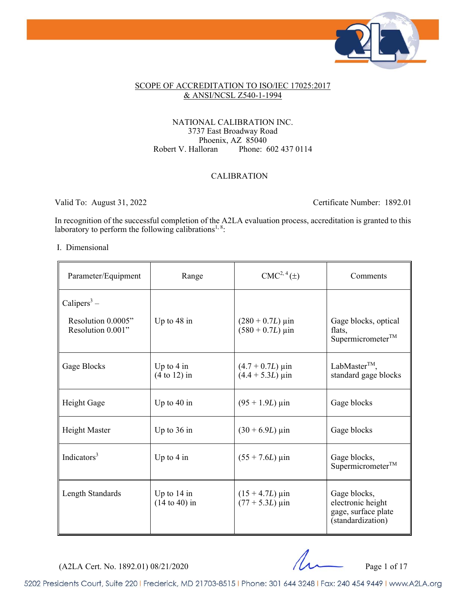

#### SCOPE OF ACCREDITATION TO ISO/IEC 17025:2017 & ANSI/NCSL Z540-1-1994

#### NATIONAL CALIBRATION INC. 3737 East Broadway Road Phoenix, AZ 85040<br>Robert V. Halloran Phone: 6 Phone: 602 437 0114

#### CALIBRATION

Valid To: August 31, 2022 Certificate Number: 1892.01

In recognition of the successful completion of the A2LA evaluation process, accreditation is granted to this laboratory to perform the following calibrations<sup>1, 8</sup>:

#### I. Dimensional

ł,

| Parameter/Equipment                                                | Range                            | $CMC2, 4(\pm)$                                                   | Comments                                                                      |
|--------------------------------------------------------------------|----------------------------------|------------------------------------------------------------------|-------------------------------------------------------------------------------|
| Calipers <sup>3</sup> –<br>Resolution 0.0005"<br>Resolution 0.001" | Up to 48 in                      | $(280 + 0.7L) \,\mu \text{in}$<br>$(580 + 0.7L) \,\mu \text{in}$ | Gage blocks, optical<br>flats,<br>Supermicrometer <sup>TM</sup>               |
| Gage Blocks                                                        | Up to $4$ in<br>$(4 to 12)$ in   | $(4.7 + 0.7L) \,\mu \text{in}$<br>$(4.4 + 5.3L) \,\mu\text{in}$  | LabMaster <sup>TM</sup> ,<br>standard gage blocks                             |
| Height Gage                                                        | Up to $40$ in                    | $(95 + 1.9L) \,\mu \text{in}$                                    | Gage blocks                                                                   |
| Height Master                                                      | Up to $36$ in                    | $(30 + 6.9L)$ µin                                                | Gage blocks                                                                   |
| Indicators $3$                                                     | Up to $4$ in                     | $(55 + 7.6L) \,\mu\text{in}$                                     | Gage blocks,<br>Supermicrometer <sup>TM</sup>                                 |
| Length Standards                                                   | Up to $14$ in<br>$(14 to 40)$ in | $(15 + 4.7L) \,\mu$ in<br>$(77 + 5.3L) \,\mu \text{in}$          | Gage blocks,<br>electronic height<br>gage, surface plate<br>(standardization) |

(A2LA Cert. No. 1892.01) 08/21/2020 Page 1 of 17

5202 Presidents Court, Suite 220 | Frederick, MD 21703-8515 | Phone: 301 644 3248 | Fax: 240 454 9449 | www.A2LA.org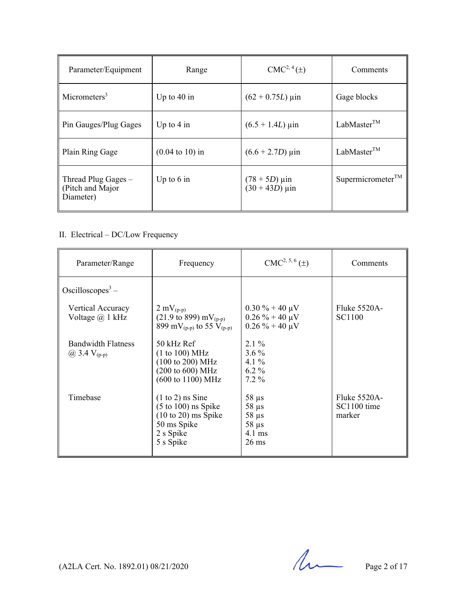| Parameter/Equipment                                    | Range                              | CMC <sup>2, 4</sup> (±)                         | Comments                      |
|--------------------------------------------------------|------------------------------------|-------------------------------------------------|-------------------------------|
| Micrometers <sup>3</sup>                               | Up to $40$ in                      | $(62 + 0.75L)$ µin                              | Gage blocks                   |
| Pin Gauges/Plug Gages                                  | Up to $4 \text{ in}$               | $(6.5 + 1.4L) \,\mu$ in                         | LabMaster <sup>TM</sup>       |
| Plain Ring Gage                                        | $(0.04 \text{ to } 10) \text{ in}$ | $(6.6 + 2.7D) \,\mu \text{in}$                  | LabMaster <sup>TM</sup>       |
| Thread Plug Gages $-$<br>(Pitch and Major<br>Diameter) | Up to $6$ in                       | $(78 + 5D) \,\mu \text{in}$<br>$(30 + 43D)$ µin | Supermicrometer <sup>TM</sup> |

# II. Electrical – DC/Low Frequency

| Parameter/Range                                  | Frequency                                                                                                                                          | $CMC2, 5, 6(\pm)$                                                                   | Comments                                  |
|--------------------------------------------------|----------------------------------------------------------------------------------------------------------------------------------------------------|-------------------------------------------------------------------------------------|-------------------------------------------|
| Oscilloscopes <sup>3</sup> –                     |                                                                                                                                                    |                                                                                     |                                           |
| Vertical Accuracy<br>Voltage $\omega$ 1 kHz      | $2 \text{ mV}_{(p-p)}$<br>$(21.9 \text{ to } 899) \text{ mV}_{(p-p)}$<br>899 mV <sub>(p-p)</sub> to 55 V <sub>(p-p)</sub>                          | $0.30\% + 40 \,\mu\text{V}$<br>$0.26\% + 40 \,\mu\text{V}$<br>$0.26\% + 40 \mu V$   | <b>Fluke 5520A-</b><br>SC <sub>1100</sub> |
| <b>Bandwidth Flatness</b><br>(a) 3.4 $V_{(p-p)}$ | 50 kHz Ref<br>(1 to 100) MHz<br>$(100 \text{ to } 200) \text{ MHz}$<br>$(200 \text{ to } 600) \text{ MHz}$<br>$(600 \text{ to } 1100) \text{ MHz}$ | $2.1\%$<br>$3.6\%$<br>4.1 $\%$<br>$6.2\%$<br>$7.2\%$                                |                                           |
| Timebase                                         | $(1 \text{ to } 2)$ ns Sine<br>$(5 \text{ to } 100)$ ns Spike<br>$(10 \text{ to } 20)$ ms Spike<br>50 ms Spike<br>2 s Spike<br>5 s Spike           | $58 \mu s$<br>$58 \mu s$<br>$58 \mu s$<br>$58 \mu s$<br>$4.1$ ms<br>$26 \text{ ms}$ | Fluke 5520A-<br>SC1100 time<br>marker     |

(A2LA Cert. No. 1892.01) 08/21/2020 Page 2 of 17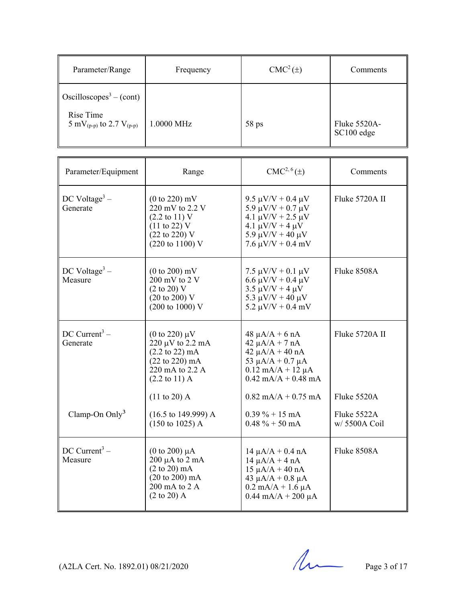| Parameter/Range                                                                                            | Frequency  | $CMC2(\pm)$ | Comments                   |
|------------------------------------------------------------------------------------------------------------|------------|-------------|----------------------------|
| $\cos$ Oscilloscopes <sup>3</sup> – (cont)<br>Rise Time<br>5 mV <sub>(p-p)</sub> to 2.7 V <sub>(p-p)</sub> | 1.0000 MHz | $58$ ps     | Fluke 5520A-<br>SC100 edge |

| Parameter/Equipment                    | Range                                                                                                                                                                          | $CMC2, 6(\pm)$                                                                                                                                                                        | Comments                   |
|----------------------------------------|--------------------------------------------------------------------------------------------------------------------------------------------------------------------------------|---------------------------------------------------------------------------------------------------------------------------------------------------------------------------------------|----------------------------|
| DC Voltage <sup>3</sup> –<br>Generate  | $(0 to 220)$ mV<br>$220$ mV to 2.2 V<br>$(2.2 \text{ to } 11) \text{ V}$<br>$(11 \text{ to } 22)$ V<br>$(22 \text{ to } 220)$ V<br>$(220 \text{ to } 1100) \text{ V}$          | 9.5 $\mu$ V/V + 0.4 $\mu$ V<br>5.9 $\mu$ V/V + 0.7 $\mu$ V<br>4.1 $\mu$ V/V + 2.5 $\mu$ V<br>4.1 $\mu$ V/V + 4 $\mu$ V<br>5.9 $\mu$ V/V + 40 $\mu$ V<br>$7.6 \mu V/V + 0.4 \ mV$      | Fluke 5720A II             |
| $DC$ Voltage <sup>3</sup> –<br>Measure | $(0 to 200)$ mV<br>200 mV to 2 V<br>$(2 \text{ to } 20)$ V<br>$(20 \text{ to } 200) \text{ V}$<br>$(200 \text{ to } 1000) \text{ V}$                                           | 7.5 $\mu$ V/V + 0.1 $\mu$ V<br>$6.6 \mu V/V + 0.4 \mu V$<br>$3.5 \mu V/V + 4 \mu V$<br>5.3 $\mu$ V/V + 40 $\mu$ V<br>5.2 $\mu$ V/V + 0.4 mV                                           | Fluke 8508A                |
| DC Current <sup>3</sup> –<br>Generate  | (0 to 220) $\mu$ V<br>$220 \mu V$ to $2.2 \text{ mA}$<br>$(2.2 \text{ to } 22) \text{ mA}$<br>$(22 \text{ to } 220) \text{ mA}$<br>220 mA to 2.2 A<br>$(2.2 \text{ to } 11)$ A | $48 \mu A/A + 6 nA$<br>$42 \mu A/A + 7 nA$<br>$42 \mu A/A + 40 nA$<br>53 $\mu$ A/A + 0.7 $\mu$ A<br>$0.12$ mA/A + 12 $\mu$ A<br>$0.42$ mA/A + 0.48 mA                                 | Fluke 5720A II             |
| Clamp-On $Only3$                       | $(11 to 20)$ A<br>$(16.5 \text{ to } 149.999)$ A                                                                                                                               | $0.82$ mA/A + 0.75 mA<br>$0.39\% + 15 \text{ mA}$                                                                                                                                     | Fluke 5520A<br>Fluke 5522A |
|                                        | $(150 \text{ to } 1025)$ A                                                                                                                                                     | $0.48 \% + 50 \text{ mA}$                                                                                                                                                             | $w/$ 5500A Coil            |
| $DC$ Current <sup>3</sup> –<br>Measure | $(0 \text{ to } 200) \mu A$<br>$200 \mu A$ to $2 \mu A$<br>$(2 \text{ to } 20) \text{ mA}$<br>$(20 \text{ to } 200) \text{ mA}$<br>200 mA to 2 A<br>$(2 \text{ to } 20)$ A     | $14 \mu A/A + 0.4 \text{ nA}$<br>$14 \mu A/A + 4 nA$<br>$15 \mu A/A + 40 nA$<br>43 $\mu$ A/A + 0.8 $\mu$ A<br>$0.2 \text{ mA/A} + 1.6 \mu\text{A}$<br>$0.44 \text{ mA}/A + 200 \mu A$ | Fluke 8508A                |

(A2LA Cert. No. 1892.01) 08/21/2020 Page 3 of 17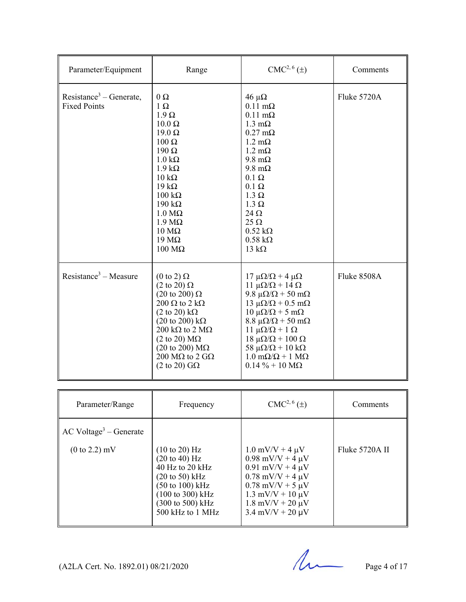| Parameter/Equipment                                        | Range                                                                                                                                                                                                                                                                                                                                                                                                               | CMC <sup>2, 6</sup> ( <u>±</u> )                                                                                                                                                                                                                                                                                                                                                                                                                | Comments    |
|------------------------------------------------------------|---------------------------------------------------------------------------------------------------------------------------------------------------------------------------------------------------------------------------------------------------------------------------------------------------------------------------------------------------------------------------------------------------------------------|-------------------------------------------------------------------------------------------------------------------------------------------------------------------------------------------------------------------------------------------------------------------------------------------------------------------------------------------------------------------------------------------------------------------------------------------------|-------------|
| Resistance <sup>3</sup> – Generate,<br><b>Fixed Points</b> | $0\ \Omega$<br>$1 \Omega$<br>$1.9 \Omega$<br>$10.0 \Omega$<br>$19.0 \Omega$<br>$100 \Omega$<br>$190 \Omega$<br>$1.0 \text{ k}\Omega$<br>$1.9 k\Omega$<br>$10 \text{ k}\Omega$<br>$19 k\Omega$<br>$100 \text{ k}\Omega$<br>$190 \text{ k}\Omega$<br>$1.0 M\Omega$<br>$1.9 M\Omega$<br>$10 \text{ M}\Omega$<br>$19 \text{ M}\Omega$<br>$100 \text{ M}\Omega$                                                          | $46 \mu\Omega$<br>$0.11 \text{ m}\Omega$<br>$0.11 \text{ m}\Omega$<br>$1.3 \text{ mA}$<br>$0.27 \text{ mA}$<br>$1.2 \text{ m}\Omega$<br>$1.2 \text{ mA}$<br>$9.8 \text{ m}\Omega$<br>$9.8 \text{ m}\Omega$<br>$0.1 \Omega$<br>$0.1 \Omega$<br>$1.3 \Omega$<br>$1.3 \Omega$<br>$24 \Omega$<br>$25 \Omega$<br>$0.52 \text{ k}\Omega$<br>$0.58 \text{ k}\Omega$<br>13 $k\Omega$                                                                    | Fluke 5720A |
| Resistance <sup>3</sup> – Measure                          | $(0 \text{ to } 2) \Omega$<br>$(2 \text{ to } 20) \Omega$<br>$(20 \text{ to } 200) \Omega$<br>200 $\Omega$ to 2 k $\Omega$<br>$(2 \text{ to } 20) \text{ k}\Omega$<br>$(20 \text{ to } 200) \text{ k}\Omega$<br>$200 \text{ k}\Omega$ to $2 \text{ M}\Omega$<br>$(2 \text{ to } 20) \text{ M}\Omega$<br>$(20 \text{ to } 200) \text{ M}\Omega$<br>200 M $\Omega$ to 2 G $\Omega$<br>$(2 \text{ to } 20)$ G $\Omega$ | $17 \mu\Omega/\Omega + 4 \mu\Omega$<br>$11 \mu\Omega/\Omega + 14 \Omega$<br>9.8 $\mu\Omega/\Omega$ + 50 m $\Omega$<br>$13 \mu\Omega/\Omega + 0.5 \text{ m}\Omega$<br>$10 \mu\Omega/\Omega + 5 \mu\Omega$<br>$8.8 \ \mu\Omega/\Omega$ + 50 m $\Omega$<br>11 μ $\Omega/\Omega$ + 1 Ω<br>$18 \mu\Omega/\Omega + 100 \Omega$<br>58 $\mu\Omega/\Omega$ + 10 k $\Omega$<br>$1.0 \text{ m}\Omega/\Omega + 1 \text{ M}\Omega$<br>$0.14 \% + 10 M\Omega$ | Fluke 8508A |
|                                                            |                                                                                                                                                                                                                                                                                                                                                                                                                     |                                                                                                                                                                                                                                                                                                                                                                                                                                                 |             |
| Parameter/Range                                            | Frequency                                                                                                                                                                                                                                                                                                                                                                                                           | $CMC2, 6(\pm)$                                                                                                                                                                                                                                                                                                                                                                                                                                  | Comments    |

| Parameter/Range                                     | Frequency                                                                                                                                                                                                                                           | $CMC2,0(\pm)$                                                                                                                                                                                                                                                              | Comments       |
|-----------------------------------------------------|-----------------------------------------------------------------------------------------------------------------------------------------------------------------------------------------------------------------------------------------------------|----------------------------------------------------------------------------------------------------------------------------------------------------------------------------------------------------------------------------------------------------------------------------|----------------|
| $\operatorname{AC}$ Voltage <sup>3</sup> – Generate |                                                                                                                                                                                                                                                     |                                                                                                                                                                                                                                                                            |                |
| $(0 \text{ to } 2.2) \text{ mV}$                    | $(10 \text{ to } 20) \text{ Hz}$<br>$(20 \text{ to } 40) \text{ Hz}$<br>40 Hz to 20 $kHz$<br>$(20 \text{ to } 50) \text{ kHz}$<br>$(50 \text{ to } 100) \text{ kHz}$<br>(100 to 300) kHz<br>$(300 \text{ to } 500) \text{ kHz}$<br>500 kHz to 1 MHz | $1.0 \text{ mV/V} + 4 \mu \text{V}$<br>$0.98$ mV/V + 4 $\mu$ V<br>$0.91$ mV/V + 4 $\mu$ V<br>$0.78$ mV/V + 4 $\mu$ V<br>$0.78$ mV/V + 5 $\mu$ V<br>$1.3 \text{ mV/V} + 10 \text{ \mu V}$<br>$1.8 \text{ mV/V} + 20 \text{ \mu V}$<br>$3.4 \text{ mV/V} + 20 \text{ \mu V}$ | Fluke 5720A II |

 $(A2LA$  Cert. No. 1892.01) 08/21/2020 Page 4 of 17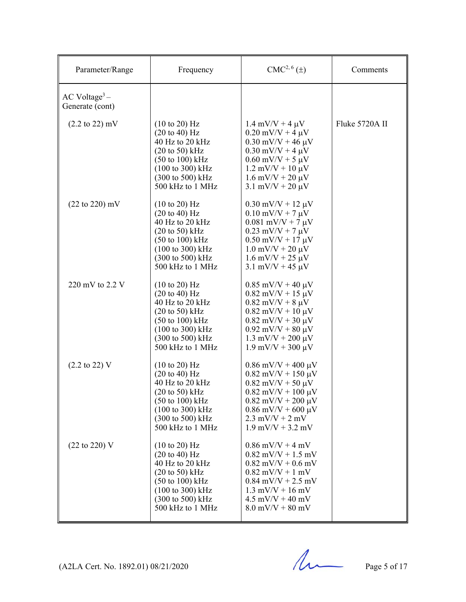| Parameter/Range                                | Frequency                                                                                                                                                                                                                                                    | CMC <sup>2, 6</sup> (±)                                                                                                                                                                                                                                       | Comments       |
|------------------------------------------------|--------------------------------------------------------------------------------------------------------------------------------------------------------------------------------------------------------------------------------------------------------------|---------------------------------------------------------------------------------------------------------------------------------------------------------------------------------------------------------------------------------------------------------------|----------------|
| $AC$ Voltage <sup>3</sup> –<br>Generate (cont) |                                                                                                                                                                                                                                                              |                                                                                                                                                                                                                                                               |                |
| $(2.2 \text{ to } 22) \text{ mV}$              | $(10 \text{ to } 20)$ Hz<br>$(20 \text{ to } 40) \text{ Hz}$<br>40 Hz to 20 kHz<br>$(20 \text{ to } 50)$ kHz<br>$(50 \text{ to } 100) \text{ kHz}$<br>(100 to 300) kHz<br>$(300 \text{ to } 500) \text{ kHz}$<br>500 kHz to 1 MHz                            | $1.4 \text{ mV/V} + 4 \mu \text{V}$<br>$0.20$ mV/V + 4 $\mu$ V<br>$0.30$ mV/V + 46 $\mu$ V<br>$0.30$ mV/V + 4 $\mu$ V<br>$0.60$ mV/V + 5 $\mu$ V<br>$1.2 \text{ mV/V} + 10 \text{ \mu V}$<br>$1.6$ mV/V + 20 $\mu$ V<br>$3.1 \text{ mV/V} + 20 \text{ \mu V}$ | Fluke 5720A II |
| $(22 \text{ to } 220) \text{ mV}$              | $(10 \text{ to } 20) \text{ Hz}$<br>$(20 \text{ to } 40)$ Hz<br>40 Hz to 20 kHz<br>$(20 \text{ to } 50)$ kHz<br>$(50 \text{ to } 100) \text{ kHz}$<br>(100 to 300) kHz<br>(300 to 500) kHz<br>500 kHz to 1 MHz                                               | $0.30$ mV/V + 12 $\mu$ V<br>$0.10 \text{ mV/V} + 7 \mu \text{V}$<br>$0.081$ mV/V + 7 $\mu$ V<br>$0.23$ mV/V + 7 $\mu$ V<br>$0.50$ mV/V + 17 $\mu$ V<br>$1.0$ mV/V + 20 $\mu$ V<br>$1.6$ mV/V + 25 $\mu$ V<br>$3.1 \text{ mV/V} + 45 \text{ \mu V}$            |                |
| 220 mV to 2.2 V                                | $(10 \text{ to } 20)$ Hz<br>$(20 \text{ to } 40) \text{ Hz}$<br>40 Hz to 20 kHz<br>$(20 \text{ to } 50)$ kHz<br>$(50 \text{ to } 100) \text{ kHz}$<br>$(100 \text{ to } 300) \text{ kHz}$<br>(300 to 500) kHz<br>500 kHz to 1 MHz                            | $0.85$ mV/V + 40 $\mu$ V<br>$0.82$ mV/V + 15 $\mu$ V<br>$0.82 \text{ mV/V} + 8 \mu \text{V}$<br>$0.82$ mV/V + 10 $\mu$ V<br>$0.82$ mV/V + 30 $\mu$ V<br>$0.92$ mV/V + 80 $\mu$ V<br>$1.3$ mV/V + 200 $\mu$ V<br>$1.9 \text{ mV/V} + 300 \text{ \mu V}$        |                |
| $(2.2 \text{ to } 22) \text{ V}$               | $(10 \text{ to } 20)$ Hz<br>$(20 \text{ to } 40) \text{ Hz}$<br>40 Hz to 20 kHz<br>$(20 \text{ to } 50) \text{ kHz}$<br>$(50 \text{ to } 100) \text{ kHz}$<br>$(100 \text{ to } 300) \text{ kHz}$<br>$(300 \text{ to } 500) \text{ kHz}$<br>500 kHz to 1 MHz | $0.86$ mV/V + 400 $\mu$ V<br>$0.82$ mV/V + 150 $\mu$ V<br>$0.82$ mV/V + 50 $\mu$ V<br>$0.82$ mV/V + 100 $\mu$ V<br>$0.82$ mV/V + 200 $\mu$ V<br>$0.86$ mV/V + 600 $\mu$ V<br>$2.3 \text{ mV/V} + 2 \text{ mV}$<br>$1.9$ mV/V + 3.2 mV                         |                |
| (22 to 220) V                                  | $(10 \text{ to } 20)$ Hz<br>$(20 \text{ to } 40) \text{ Hz}$<br>40 Hz to 20 kHz<br>$(20 \text{ to } 50)$ kHz<br>$(50 \text{ to } 100) \text{ kHz}$<br>(100 to 300) kHz<br>$(300 \text{ to } 500) \text{ kHz}$<br>500 kHz to 1 MHz                            | $0.86$ mV/V + 4 mV<br>$0.82$ mV/V + 1.5 mV<br>$0.82$ mV/V + $0.6$ mV<br>$0.82$ mV/V + 1 mV<br>$0.84$ mV/V + 2.5 mV<br>$1.3$ mV/V + 16 mV<br>$4.5$ mV/V + 40 mV<br>$8.0$ mV/V + $80$ mV                                                                        |                |

 $(A2LA$  Cert. No. 1892.01) 08/21/2020 Page 5 of 17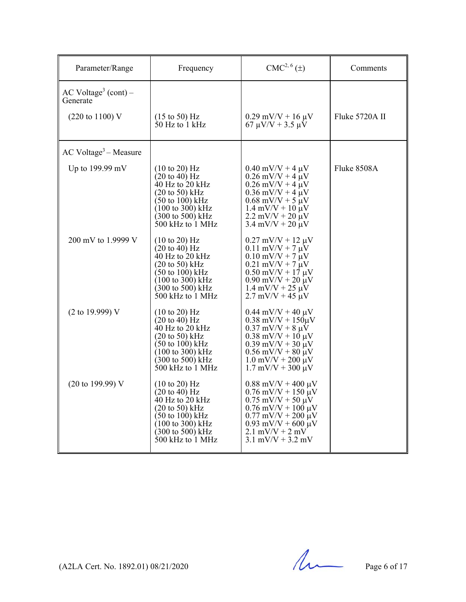| Parameter/Range                              | Frequency                                                                                                                                                                                                                                              | $CMC2, 6(\pm)$                                                                                                                                                                                                                                        | Comments       |
|----------------------------------------------|--------------------------------------------------------------------------------------------------------------------------------------------------------------------------------------------------------------------------------------------------------|-------------------------------------------------------------------------------------------------------------------------------------------------------------------------------------------------------------------------------------------------------|----------------|
| AC Voltage <sup>3</sup> (cont) –<br>Generate |                                                                                                                                                                                                                                                        |                                                                                                                                                                                                                                                       |                |
| $(220 \text{ to } 1100) \text{ V}$           | $(15 \text{ to } 50)$ Hz<br>$50$ Hz to 1 kHz                                                                                                                                                                                                           | $0.29$ mV/V + 16 $\mu$ V<br>$67 \mu V/V + 3.5 \mu V$                                                                                                                                                                                                  | Fluke 5720A II |
| $AC$ Voltage <sup>3</sup> – Measure          |                                                                                                                                                                                                                                                        |                                                                                                                                                                                                                                                       |                |
| Up to 199.99 mV                              | $(10 \text{ to } 20)$ Hz<br>$(20 \text{ to } 40)$ Hz<br>$40$ Hz to $20$ kHz<br>$(20 \text{ to } 50)$ kHz<br>$(50 \text{ to } 100) \text{ kHz}$<br>$(100 \text{ to } 300) \text{ kHz}$<br>$(300 \text{ to } 500) \text{ kHz}$<br>$500$ kHz to $1$ MHz   | $0.40$ mV/V + 4 $\mu$ V<br>$0.26$ mV/V + 4 $\mu$ V<br>$0.26$ mV/V + 4 $\mu$ V<br>$0.36$ mV/V + 4 $\mu$ V<br>$0.68$ mV/V + 5 $\mu$ V<br>$1.4$ mV/V + 10 $\mu$ V<br>$2.2 \text{ mV/V} + 20 \text{ \mu V}$<br>$3.4 \text{ mV/V} + 20 \text{ \mu V}$      | Fluke 8508A    |
| 200 mV to 1.9999 V                           | $(10 \text{ to } 20)$ Hz<br>$(20 \text{ to } 40)$ Hz<br>$40$ Hz to $20$ kHz<br>$(20 \text{ to } 50)$ kHz<br>$(50 \text{ to } 100) \text{ kHz}$<br>$(100 \text{ to } 300) \text{ kHz}$<br>$(300 \text{ to } 500) \text{ kHz}$<br>$500$ kHz to $1$ MHz   | $0.27$ mV/V + 12 $\mu$ V<br>$0.11$ mV/V + 7 $\mu$ V<br>$0.10$ mV/V + 7 $\mu$ V<br>$0.21$ mV/V + 7 $\mu$ V<br>$0.50$ mV/V + 17 $\mu$ V<br>$0.90$ mV/V + 20 $\mu$ V<br>$1.4 \text{ mV/V} + 25 \text{ \mu V}$<br>$2.7 \text{ mV/V} + 45 \text{ \mu V}$   |                |
| (2 to 19.999) V                              | $(10 \text{ to } 20)$ Hz<br>$(20 \text{ to } 40)$ Hz<br>$40$ Hz to $20$ kHz<br>$(20 \text{ to } 50)$ kHz<br>$(50 \text{ to } 100) \text{ kHz}$<br>$(100 \text{ to } 300) \text{ kHz}$<br>$(300 \text{ to } 500) \text{ kHz}$<br>$500$ kHz to $1$ MHz   | $0.44$ mV/V + 40 $\mu$ V<br>$0.38$ mV/V + $150 \mu$ V<br>$0.37$ mV/V + 8 $\mu$ V<br>$0.38$ mV/V + 10 $\mu$ V<br>$0.39$ mV/V + 30 $\mu$ V<br>$0.56$ mV/V + 80 $\mu$ V<br>$1.0$ mV/V + 200 $\mu$ V<br>$1.7$ mV/V + 300 $\mu$ V                          |                |
| $(20 \text{ to } 199.99)$ V                  | $(10 \text{ to } 20) \text{ Hz}$<br>$(20 \text{ to } 40)$ Hz<br>40 Hz to 20 $kHz$<br>$(20 \text{ to } 50)$ kHz<br>$(50 \text{ to } 100) \text{ kHz}$<br>$(100 \text{ to } 300) \text{ kHz}$<br>$(300 \text{ to } 500) \text{ kHz}$<br>500 kHz to 1 MHz | $0.88$ mV/V + 400 $\mu$ V<br>$0.76$ mV/V + 150 $\mu$ V<br>$0.75$ mV/V + 50 $\mu$ V<br>$0.76$ mV/V + 100 $\mu$ V<br>$0.77$ mV/V + 200 $\mu$ V<br>$0.93$ mV/V + 600 $\mu$ V<br>$2.1 \text{ mV/V} + 2 \text{ mV}$<br>$3.1 \text{ mV/V} + 3.2 \text{ mV}$ |                |

 $(A2LA$  Cert. No. 1892.01) 08/21/2020 Page 6 of 17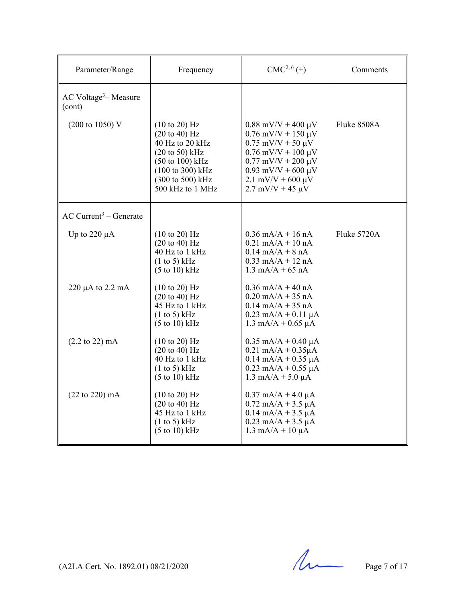| Parameter/Range                               | Frequency                                                                                                                                                                                                                         | CMC <sup>2, 6</sup> (±)                                                                                                                                                                                                          | Comments    |
|-----------------------------------------------|-----------------------------------------------------------------------------------------------------------------------------------------------------------------------------------------------------------------------------------|----------------------------------------------------------------------------------------------------------------------------------------------------------------------------------------------------------------------------------|-------------|
| $AC$ Voltage <sup>3</sup> – Measure<br>(cont) |                                                                                                                                                                                                                                   |                                                                                                                                                                                                                                  |             |
| $(200 \text{ to } 1050) \text{ V}$            | $(10 \text{ to } 20)$ Hz<br>$(20 \text{ to } 40)$ Hz<br>40 Hz to 20 kHz<br>$(20 \text{ to } 50) \text{ kHz}$<br>$(50 \text{ to } 100) \text{ kHz}$<br>$(100 \text{ to } 300) \text{ kHz}$<br>(300 to 500) kHz<br>500 kHz to 1 MHz | $0.88$ mV/V + 400 $\mu$ V<br>$0.76$ mV/V + 150 $\mu$ V<br>$0.75$ mV/V + 50 $\mu$ V<br>$0.76$ mV/V + 100 $\mu$ V<br>$0.77$ mV/V + 200 $\mu$ V<br>$0.93$ mV/V + 600 $\mu$ V<br>$2.1$ mV/V + 600 $\mu$ V<br>$2.7$ mV/V + 45 $\mu$ V | Fluke 8508A |
| $AC$ Current <sup>3</sup> – Generate          |                                                                                                                                                                                                                                   |                                                                                                                                                                                                                                  |             |
| Up to $220 \mu A$                             | (10 to 20) Hz<br>(20 to 40) Hz<br>40 Hz to 1 kHz<br>(1 to 5) kHz<br>$(5 \text{ to } 10) \text{ kHz}$                                                                                                                              | $0.36$ mA/A + 16 nA<br>$0.21$ mA/A + 10 nA<br>$0.14$ mA/A + 8 nA<br>$0.33$ mA/A + 12 nA<br>$1.3 \text{ mA/A} + 65 \text{ nA}$                                                                                                    | Fluke 5720A |
| $220 \mu A$ to $2.2 \mu A$                    | (10 to 20) Hz<br>$(20 \text{ to } 40) \text{ Hz}$<br>45 Hz to 1 kHz<br>(1 to 5) kHz<br>$(5 \text{ to } 10) \text{ kHz}$                                                                                                           | $0.36$ mA/A + 40 nA<br>$0.20$ mA/A + 35 nA<br>$0.14$ mA/A + 35 nA<br>$0.23$ mA/A + $0.11$ µA<br>$1.3 \text{ mA/A} + 0.65 \mu\text{A}$                                                                                            |             |
| $(2.2 \text{ to } 22) \text{ mA}$             | (10 to 20) Hz<br>$(20 \text{ to } 40)$ Hz<br>40 Hz to 1 kHz<br>(1 to 5) kHz<br>(5 to 10) kHz                                                                                                                                      | $0.35$ mA/A + 0.40 µA<br>$0.21$ mA/A + $0.35\mu$ A<br>$0.14$ mA/A + 0.35 µA<br>$0.23$ mA/A + 0.55 $\mu$ A<br>$1.3 \text{ mA/A} + 5.0 \mu\text{A}$                                                                                |             |
| $(22 \text{ to } 220) \text{ mA}$             | $(10 \text{ to } 20)$ Hz<br>$(20 \text{ to } 40)$ Hz<br>45 Hz to 1 kHz<br>(1 to 5) kHz<br>$(5 \text{ to } 10) \text{ kHz}$                                                                                                        | $0.37$ mA/A + 4.0 $\mu$ A<br>$0.72$ mA/A + 3.5 µA<br>$0.14$ mA/A + 3.5 µA<br>$0.23$ mA/A + 3.5 µA<br>$1.3 \text{ mA/A} + 10 \mu\text{A}$                                                                                         |             |

 $(A2LA$  Cert. No. 1892.01) 08/21/2020 Page 7 of 17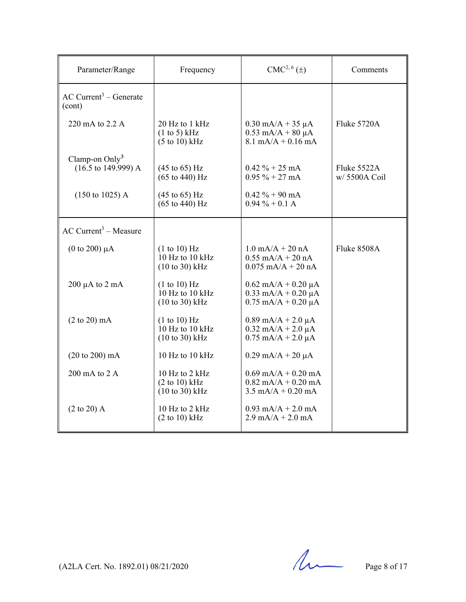| Parameter/Range                                    | Frequency                                                                     | $CMC2, 6(\pm)$                                                                           | Comments                     |
|----------------------------------------------------|-------------------------------------------------------------------------------|------------------------------------------------------------------------------------------|------------------------------|
| $AC$ Current <sup>3</sup> – Generate<br>(cont)     |                                                                               |                                                                                          |                              |
| 220 mA to 2.2 A                                    | 20 Hz to 1 kHz<br>$(1 \text{ to } 5)$ kHz<br>$(5 \text{ to } 10) \text{ kHz}$ | $0.30$ mA/A + 35 µA<br>$0.53$ mA/A + 80 $\mu$ A<br>$8.1 \text{ mA/A} + 0.16 \text{ mA}$  | Fluke 5720A                  |
| Clamp-on $Only3$<br>$(16.5 \text{ to } 149.999)$ A | $(45 \text{ to } 65) \text{ Hz}$<br>$(65 \text{ to } 440) \text{ Hz}$         | $0.42 \% + 25 mA$<br>$0.95\% + 27 \text{ mA}$                                            | Fluke 5522A<br>w/ 5500A Coil |
| $(150 \text{ to } 1025)$ A                         | $(45 \text{ to } 65) \text{ Hz}$<br>$(65 \text{ to } 440) \text{ Hz}$         | $0.42 \% + 90 \text{ mA}$<br>$0.94\% + 0.1$ A                                            |                              |
| $AC$ Current <sup>3</sup> – Measure                |                                                                               |                                                                                          |                              |
| $(0 \text{ to } 200) \mu A$                        | (1 to 10) Hz<br>$10$ Hz to $10$ kHz<br>$(10 to 30)$ kHz                       | $1.0 \text{ mA/A} + 20 \text{ nA}$<br>$0.55$ mA/A + 20 nA<br>$0.075$ mA/A + 20 nA        | Fluke 8508A                  |
| $200 \mu A$ to $2 \mu A$                           | (1 to 10) Hz<br>10 Hz to 10 kHz<br>$(10 \text{ to } 30)$ kHz                  | $0.62$ mA/A + $0.20$ µA<br>$0.33$ mA/A + $0.20$ µA<br>$0.75$ mA/A + $0.20$ µA            |                              |
| $(2 \text{ to } 20) \text{ mA}$                    | (1 to 10) Hz<br>10 Hz to 10 kHz<br>$(10 to 30)$ kHz                           | $0.89$ mA/A + 2.0 $\mu$ A<br>$0.32$ mA/A + 2.0 $\mu$ A<br>$0.75$ mA/A + 2.0 µA           |                              |
| (20 to 200) mA                                     | 10 Hz to 10 kHz                                                               | $0.29$ mA/A + 20 $\mu$ A                                                                 |                              |
| 200 mA to 2 A                                      | 10 Hz to 2 kHz<br>(2 to 10) kHz<br>$(10 \text{ to } 30)$ kHz                  | $0.69$ mA/A + $0.20$ mA<br>$0.82$ mA/A + 0.20 mA<br>$3.5 \text{ mA/A} + 0.20 \text{ mA}$ |                              |
| $(2 \text{ to } 20)$ A                             | $10$ Hz to $2$ kHz<br>(2 to 10) kHz                                           | $0.93$ mA/A + 2.0 mA<br>$2.9 \text{ mA/A} + 2.0 \text{ mA}$                              |                              |

 $(A2LA$  Cert. No. 1892.01) 08/21/2020 Page 8 of 17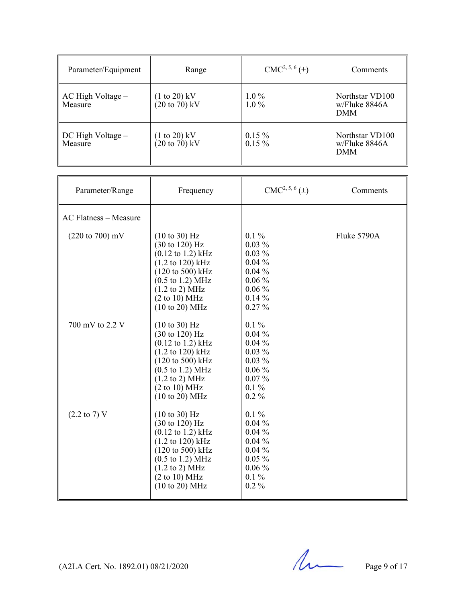| Parameter/Equipment              | Range                                               | $CMC2, 5, 6(\pm)$    | Comments                                       |
|----------------------------------|-----------------------------------------------------|----------------------|------------------------------------------------|
| AC High Voltage –<br>Measure     | $(1 \text{ to } 20)$ kV<br>$(20 \text{ to } 70)$ kV | $1.0\%$<br>$1.0\%$   | Northstar VD100<br>w/Fluke 8846A<br><b>DMM</b> |
| $DC$ High Voltage $-$<br>Measure | $(1 \text{ to } 20)$ kV<br>$(20 \text{ to } 70)$ kV | $0.15\%$<br>$0.15\%$ | Northstar VD100<br>w/Fluke 8846A<br><b>DMM</b> |

| Parameter/Range                    | Frequency                                                                                                                                                                                                                                                                                                  | $CMC2, 5, 6(\pm)$                                                                                       | Comments    |
|------------------------------------|------------------------------------------------------------------------------------------------------------------------------------------------------------------------------------------------------------------------------------------------------------------------------------------------------------|---------------------------------------------------------------------------------------------------------|-------------|
| <b>AC Flatness - Measure</b>       |                                                                                                                                                                                                                                                                                                            |                                                                                                         |             |
| $(220 \text{ to } 700) \text{ mV}$ | (10 to 30) Hz<br>$(30 \text{ to } 120) \text{ Hz}$<br>$(0.12 \text{ to } 1.2) \text{ kHz}$<br>$(1.2 \text{ to } 120) \text{ kHz}$<br>$(120 \text{ to } 500) \text{ kHz}$<br>$(0.5 \text{ to } 1.2) \text{ MHz}$<br>$(1.2 \text{ to } 2) \text{ MHz}$<br>(2 to 10) MHz<br>$(10 \text{ to } 20) \text{ MHz}$ | $0.1\%$<br>$0.03\%$<br>$0.03\%$<br>$0.04\%$<br>$0.04\%$<br>$0.06\%$<br>$0.06\%$<br>$0.14\%$<br>$0.27\%$ | Fluke 5790A |
| 700 mV to 2.2 V                    | (10 to 30) Hz<br>$(30 \text{ to } 120) \text{ Hz}$<br>$(0.12 \text{ to } 1.2) \text{ kHz}$<br>$(1.2 \text{ to } 120) \text{ kHz}$<br>$(120 \text{ to } 500) \text{ kHz}$<br>$(0.5 \text{ to } 1.2) \text{ MHz}$<br>$(1.2 \text{ to } 2) \text{ MHz}$<br>(2 to 10) MHz<br>(10 to 20) MHz                    | $0.1\%$<br>$0.04\%$<br>$0.04\%$<br>$0.03\%$<br>$0.03\%$<br>$0.06\%$<br>$0.07\%$<br>$0.1\%$<br>$0.2\%$   |             |
| $(2.2 \text{ to } 7) \text{ V}$    | (10 to 30) Hz<br>(30 to 120) Hz<br>$(0.12 \text{ to } 1.2) \text{ kHz}$<br>(1.2 to 120) kHz<br>$(120 \text{ to } 500) \text{ kHz}$<br>$(0.5 \text{ to } 1.2) \text{ MHz}$<br>$(1.2 \text{ to } 2) \text{ MHz}$<br>(2 to 10) MHz<br>$(10 \text{ to } 20) \text{ MHz}$                                       | $0.1\%$<br>$0.04\%$<br>$0.04\%$<br>$0.04\%$<br>$0.04\%$<br>$0.05\%$<br>$0.06\%$<br>$0.1\%$<br>$0.2\%$   |             |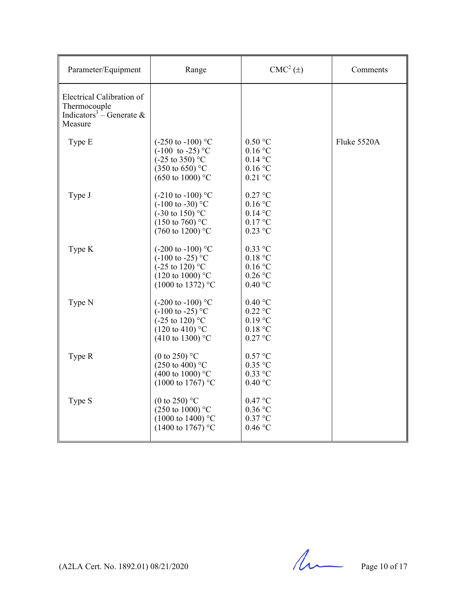| Parameter/Equipment                                                                          | Range                                                                                                                                                    | $CMC2(\pm)$                                                 | Comments    |
|----------------------------------------------------------------------------------------------|----------------------------------------------------------------------------------------------------------------------------------------------------------|-------------------------------------------------------------|-------------|
| Electrical Calibration of<br>Thermocouple<br>Indicators <sup>3</sup> – Generate &<br>Measure |                                                                                                                                                          |                                                             |             |
| Type E                                                                                       | $(-250 \text{ to } -100)$ °C<br>$(-100 \text{ to } -25)$ °C<br>$(-25 \text{ to } 350)$ °C<br>$(350 \text{ to } 650)$ °C<br>$(650 \text{ to } 1000)$ °C   | 0.50 °C<br>0.16 °C<br>$0.14$ °C<br>0.16 °C<br>$0.21$ °C     | Fluke 5520A |
| Type J                                                                                       | $(-210 \text{ to } -100)$ °C<br>$(-100 \text{ to } -30)$ °C<br>$(-30 \text{ to } 150)$ °C<br>$(150 \text{ to } 760)$ °C<br>$(760 \text{ to } 1200)$ °C   | $0.27$ °C<br>$0.16$ °C<br>$0.14$ °C<br>0.17 °C<br>$0.23$ °C |             |
| Type K                                                                                       | $(-200 \text{ to } -100)$ °C<br>$(-100 \text{ to } -25)$ °C<br>$(-25 \text{ to } 120)$ °C<br>$(120 \text{ to } 1000)$ °C<br>$(1000 \text{ to } 1372)$ °C | $0.33$ °C<br>0.18 °C<br>0.16 °C<br>$0.26$ °C<br>0.40 °C     |             |
| Type N                                                                                       | $(-200 \text{ to } -100)$ °C<br>$(-100 \text{ to } -25)$ °C<br>$(-25 \text{ to } 120)$ °C<br>$(120 \text{ to } 410)$ °C<br>(410 to 1300) $^{\circ}$ C    | 0.40 °C<br>$0.22$ °C<br>$0.19$ °C<br>0.18 °C<br>0.27 °C     |             |
| Type R                                                                                       | (0 to 250) $^{\circ}$ C<br>(250 to 400) $^{\circ}$ C<br>(400 to 1000) $^{\circ}$ C<br>$(1000 \text{ to } 1767)$ °C                                       | 0.57 °C<br>$0.35$ °C<br>$0.33$ °C<br>0.40 °C                |             |
| Type S                                                                                       | (0 to 250) $^{\circ}$ C<br>$(250 \text{ to } 1000)$ °C<br>$(1000 \text{ to } 1400)$ °C<br>$(1400 \text{ to } 1767)$ °C                                   | 0.47 °C<br>$0.36$ °C<br>$0.37$ °C<br>0.46 °C                |             |

 $(A2LA$  Cert. No. 1892.01) 08/21/2020 Page 10 of 17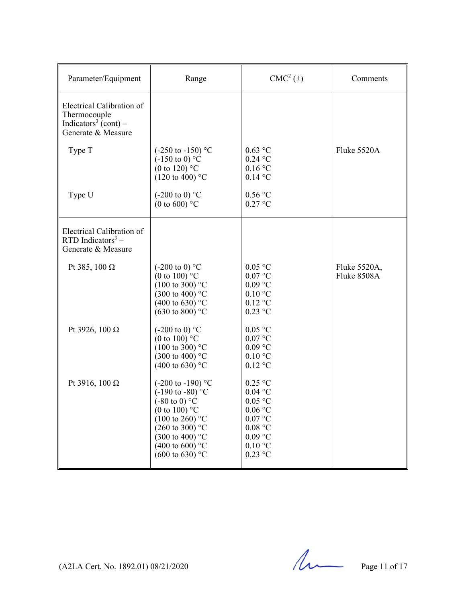| Parameter/Equipment                                                                                 | Range                                                                                                                                                                                                                                                                   | $CMC2(\pm)$                                                                                                                           | Comments                    |
|-----------------------------------------------------------------------------------------------------|-------------------------------------------------------------------------------------------------------------------------------------------------------------------------------------------------------------------------------------------------------------------------|---------------------------------------------------------------------------------------------------------------------------------------|-----------------------------|
| Electrical Calibration of<br>Thermocouple<br>Indicators <sup>3</sup> (cont) –<br>Generate & Measure |                                                                                                                                                                                                                                                                         |                                                                                                                                       |                             |
| Type T                                                                                              | $(-250 \text{ to } -150)$ °C<br>$(-150 \text{ to } 0)$ °C<br>(0 to 120) $^{\circ}$ C<br>$(120 \text{ to } 400)$ °C                                                                                                                                                      | $0.63$ °C<br>$0.24$ °C<br>$0.16$ °C<br>$0.14$ °C                                                                                      | Fluke 5520A                 |
| Type U                                                                                              | $(-200 \text{ to } 0)$ °C<br>(0 to 600) $^{\circ}$ C                                                                                                                                                                                                                    | 0.56 °C<br>$0.27$ °C                                                                                                                  |                             |
| Electrical Calibration of<br>RTD Indicators $3 -$<br>Generate & Measure                             |                                                                                                                                                                                                                                                                         |                                                                                                                                       |                             |
| Pt 385, 100 $\Omega$                                                                                | $(-200 \text{ to } 0)$ °C<br>(0 to 100) $^{\circ}$ C<br>$(100 \text{ to } 300)$ °C<br>$(300 \text{ to } 400)$ °C<br>$(400 \text{ to } 630)$ °C<br>$(630 \text{ to } 800)$ °C                                                                                            | $0.05$ °C<br>$0.07$ °C<br>$0.09$ °C<br>$0.10\text{ °C}$<br>$0.12$ °C<br>$0.23$ °C                                                     | Fluke 5520A,<br>Fluke 8508A |
| Pt 3926, 100 Ω                                                                                      | $(-200 \text{ to } 0)$ °C<br>(0 to 100) $^{\circ}$ C<br>$(100 \text{ to } 300)$ °C<br>$(300 \text{ to } 400)$ °C<br>$(400 \text{ to } 630)$ °C                                                                                                                          | $0.05$ °C<br>$0.07$ °C<br>$0.09$ °C<br>$0.10\text{ °C}$<br>$0.12\ ^\circ\rm{C}$                                                       |                             |
| Pt 3916, 100 Ω                                                                                      | $(-200 \text{ to } -190)$ °C<br>$(-190 \text{ to } -80)$ °C<br>$(-80 \text{ to } 0)$ °C<br>(0 to 100) $^{\circ}$ C<br>(100 to 260) $^{\circ}$ C<br>$(260 \text{ to } 300)$ °C<br>$(300 \text{ to } 400)$ °C<br>$(400 \text{ to } 600)$ °C<br>$(600 \text{ to } 630)$ °C | $0.25$ °C<br>$0.04$ °C<br>$0.05$ °C<br>$0.06\,^{\circ}\mathrm{C}$<br>0.07 °C<br>0.08 °C<br>$0.09$ °C<br>$0.10\text{ °C}$<br>$0.23$ °C |                             |

(A2LA Cert. No. 1892.01) 08/21/2020 Page 11 of 17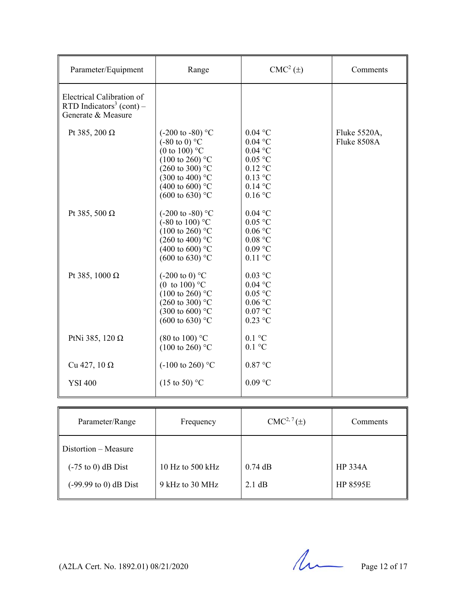| Parameter/Equipment                                                                     | Range                                                                                                                                                                                                                                    | $CMC2(\pm)$                                                                                          | Comments                    |
|-----------------------------------------------------------------------------------------|------------------------------------------------------------------------------------------------------------------------------------------------------------------------------------------------------------------------------------------|------------------------------------------------------------------------------------------------------|-----------------------------|
| Electrical Calibration of<br>RTD Indicators <sup>3</sup> (cont) –<br>Generate & Measure |                                                                                                                                                                                                                                          |                                                                                                      |                             |
| Pt 385, 200 $\Omega$                                                                    | $(-200 \text{ to } -80)$ °C<br>$(-80 \text{ to } 0)$ °C<br>(0 to 100) $^{\circ}$ C<br>$(100 \text{ to } 260)$ °C<br>$(260 \text{ to } 300)$ °C<br>$(300 \text{ to } 400)$ °C<br>$(400 \text{ to } 600)$ °C<br>$(600 \text{ to } 630)$ °C | $0.04$ °C<br>$0.04$ °C<br>$0.04$ °C<br>$0.05$ °C<br>$0.12$ °C<br>$0.13$ °C<br>$0.14$ °C<br>$0.16$ °C | Fluke 5520A,<br>Fluke 8508A |
| Pt 385, 500 $\Omega$                                                                    | $(-200 \text{ to } -80)$ °C<br>$(-80 \text{ to } 100)$ °C<br>$(100 \text{ to } 260)$ °C<br>(260 to 400) $^{\circ}$ C<br>(400 to 600) $^{\circ}$ C<br>$(600 \text{ to } 630)$ °C                                                          | $0.04$ °C<br>$0.05$ °C<br>0.06 °C<br>0.08 °C<br>$0.09$ °C<br>$0.11$ °C                               |                             |
| Pt 385, 1000 Ω                                                                          | $(-200 \text{ to } 0)$ °C<br>(0 to 100) $^{\circ}$ C<br>$(100 \text{ to } 260)$ °C<br>$(260 \text{ to } 300)$ °C<br>$(300 \text{ to } 600)$ °C<br>$(600 \text{ to } 630)$ °C                                                             | $0.03$ °C<br>$0.04$ °C<br>$0.05$ °C<br>$0.06$ °C<br>0.07 °C<br>$0.23$ °C                             |                             |
| PtNi 385, 120 $\Omega$                                                                  | $(80 \text{ to } 100)$ °C<br>$(100 \text{ to } 260)$ °C                                                                                                                                                                                  | $0.1 \text{ }^{\circ}C$<br>$0.1\ ^{\circ}\textrm{C}$                                                 |                             |
| Cu 427, 10 $\Omega$                                                                     | $(-100 \text{ to } 260)$ °C                                                                                                                                                                                                              | 0.87 °C                                                                                              |                             |
| <b>YSI 400</b>                                                                          | $(15 \text{ to } 50)$ °C                                                                                                                                                                                                                 | $0.09$ °C                                                                                            |                             |

| Parameter/Range                  | Frequency        | $CMC2, 7(\pm)$   | Comments        |
|----------------------------------|------------------|------------------|-----------------|
| $\parallel$ Distortion – Measure |                  |                  |                 |
| $(-75 \text{ to } 0)$ dB Dist    | 10 Hz to 500 kHz | $0.74$ dB        | <b>HP 334A</b>  |
| $(-99.99 \text{ to } 0)$ dB Dist | 9 kHz to 30 MHz  | $2.1 \text{ dB}$ | <b>HP 8595E</b> |

(A2LA Cert. No. 1892.01) 08/21/2020 Page 12 of 17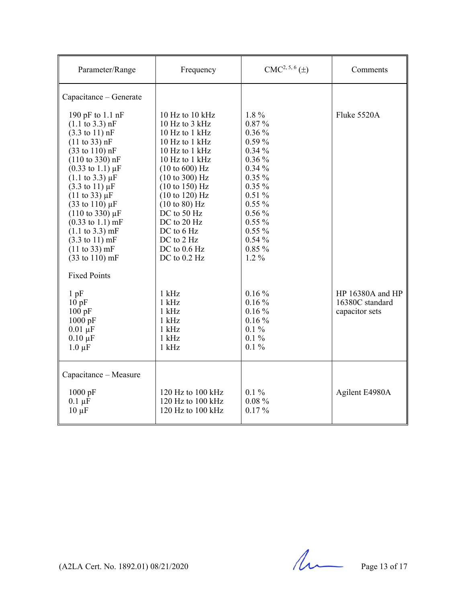| Parameter/Range                                                                                                                                                                                                                                                                                                                                                              | Frequency                                                                                                                                                                                                                 | $CMC2, 5, 6(\pm)$                                                                                                  | Comments                                              |
|------------------------------------------------------------------------------------------------------------------------------------------------------------------------------------------------------------------------------------------------------------------------------------------------------------------------------------------------------------------------------|---------------------------------------------------------------------------------------------------------------------------------------------------------------------------------------------------------------------------|--------------------------------------------------------------------------------------------------------------------|-------------------------------------------------------|
| Capacitance – Generate<br>190 pF to 1.1 nF<br>$(1.1 \text{ to } 3.3) \text{ nF}$<br>$(3.3 \text{ to } 11) \text{ nF}$<br>$(11 \text{ to } 33) \text{ nF}$<br>$(33 \text{ to } 110) \text{ nF}$<br>$(110 \text{ to } 330) \text{ nF}$<br>$(0.33 \text{ to } 1.1) \mu\text{F}$<br>$(1.1 \text{ to } 3.3) \mu F$<br>$(3.3 \text{ to } 11) \mu F$<br>$(11 \text{ to } 33) \mu F$ | 10 Hz to 10 kHz<br>10 Hz to 3 kHz<br>10 Hz to $1$ kHz<br>10 Hz to 1 kHz<br>10 Hz to 1 kHz<br>10 Hz to 1 kHz<br>$(10 \text{ to } 600) \text{ Hz}$<br>(10 to 300) Hz<br>$(10 \text{ to } 150) \text{ Hz}$<br>(10 to 120) Hz | $1.8\,\%$<br>0.87%<br>$0.36\%$<br>$0.59\%$<br>$0.34\%$<br>$0.36\%$<br>$0.34\%$<br>$0.35\%$<br>$0.35\%$<br>$0.51\%$ | Fluke 5520A                                           |
| $(33 \text{ to } 110) \,\mu\text{F}$<br>$(110 \text{ to } 330) \mu F$<br>$(0.33 \text{ to } 1.1) \text{ mF}$<br>$(1.1 \text{ to } 3.3) \text{ mF}$<br>$(3.3 \text{ to } 11) \text{ mF}$<br>(11 to 33) mF<br>$(33 \text{ to } 110) \text{ mF}$<br><b>Fixed Points</b>                                                                                                         | (10 to 80) Hz<br>DC to 50 Hz<br>DC to 20 Hz<br>DC to 6 Hz<br>DC to 2 Hz<br>DC to $0.6$ Hz<br>DC to $0.2$ Hz                                                                                                               | $0.55\%$<br>$0.56\%$<br>$0.55\%$<br>$0.55\%$<br>$0.54\%$<br>0.85%<br>$1.2\%$                                       |                                                       |
| $1$ pF<br>10pF<br>100pF<br>$1000$ pF<br>$0.01 \mu F$<br>$0.10 \mu F$<br>$1.0 \mu F$                                                                                                                                                                                                                                                                                          | $1$ kHz<br>$1$ kHz<br>$1$ kHz<br>$1$ kHz<br>$1$ kHz<br>$1$ kHz<br>$1$ kHz                                                                                                                                                 | $0.16\%$<br>$0.16\%$<br>$0.16\%$<br>$0.16\%$<br>$0.1\%$<br>$0.1\%$<br>$0.1\%$                                      | HP 16380A and HP<br>16380C standard<br>capacitor sets |
| Capacitance - Measure<br>1000 pF<br>$0.1 \mu F$<br>$10 \mu F$                                                                                                                                                                                                                                                                                                                | 120 Hz to 100 kHz<br>120 Hz to 100 kHz<br>120 Hz to $100$ kHz                                                                                                                                                             | $0.1\%$<br>$0.08 \%$<br>$0.17\%$                                                                                   | Agilent E4980A                                        |

 $(A2LA$  Cert. No. 1892.01) 08/21/2020 Page 13 of 17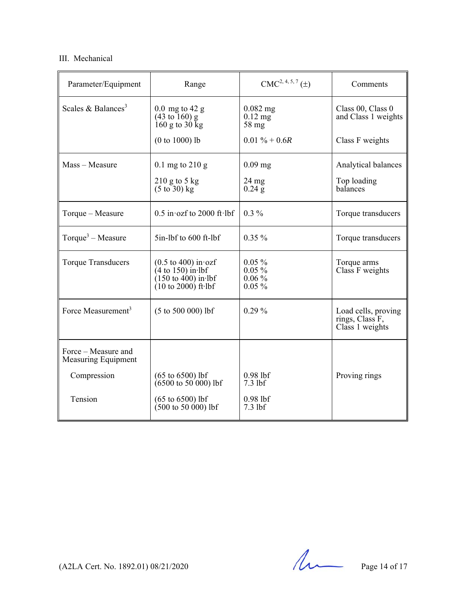### III. Mechanical

| Parameter/Equipment                        | Range                                                                                                                                                      | $CMC2, 4, 5, 7(\pm)$                         | Comments                                                  |
|--------------------------------------------|------------------------------------------------------------------------------------------------------------------------------------------------------------|----------------------------------------------|-----------------------------------------------------------|
| Scales & Balances <sup>3</sup>             | $0.0 \text{ mg}$ to 42 g<br>$(43 \text{ to } 160)$ g<br>$160$ g to $30$ kg                                                                                 | $0.082$ mg<br>$0.12$ mg<br>58 mg             | Class 00, Class 0<br>and Class 1 weights                  |
|                                            | $(0 to 1000)$ lb                                                                                                                                           | $0.01 \% + 0.6R$                             | Class F weights                                           |
| Mass - Measure                             | $0.1$ mg to $210$ g                                                                                                                                        | $0.09$ mg                                    | Analytical balances                                       |
|                                            | $210$ g to 5 kg<br>$(5 \text{ to } 30) \text{ kg}$                                                                                                         | $24 \text{ mg}$<br>$0.24$ g                  | Top loading<br>balances                                   |
| Torque - Measure                           | $0.5$ in ozf to 2000 ft lbf                                                                                                                                | $0.3\%$                                      | Torque transducers                                        |
| Torque <sup>3</sup> – Measure              | 5in-lbf to 600 ft-lbf                                                                                                                                      | $0.35\%$                                     | Torque transducers                                        |
| <b>Torque Transducers</b>                  | $(0.5 \text{ to } 400) \text{ in } \text{ozf}$<br>$(4 \text{ to } 150)$ in lbf<br>$(150 \text{ to } 400)$ in lbf<br>$(10 \text{ to } 2000)$ ft $\cdot$ lbf | $0.05\%$<br>$0.05\%$<br>$0.06\%$<br>$0.05\%$ | Torque arms<br>Class F weights                            |
| Force Measurement <sup>3</sup>             | $(5 to 500 000)$ lbf                                                                                                                                       | $0.29\%$                                     | Load cells, proving<br>rings, Class F,<br>Class 1 weights |
| Force – Measure and<br>Measuring Equipment |                                                                                                                                                            |                                              |                                                           |
| Compression                                | $(65 \text{ to } 6500)$ lbf<br>$(6500 \text{ to } 50 \text{ } 000) \text{ lbf}$                                                                            | $0.98$ lbf<br>$7.3$ lbf                      | Proving rings                                             |
| Tension                                    | $(65 \text{ to } 6500)$ lbf<br>$(500 \text{ to } 50 \text{ 000})$ lbf                                                                                      | $0.98$ lbf<br>$7.3$ lbf                      |                                                           |

(A2LA Cert. No. 1892.01) 08/21/2020 Page 14 of 17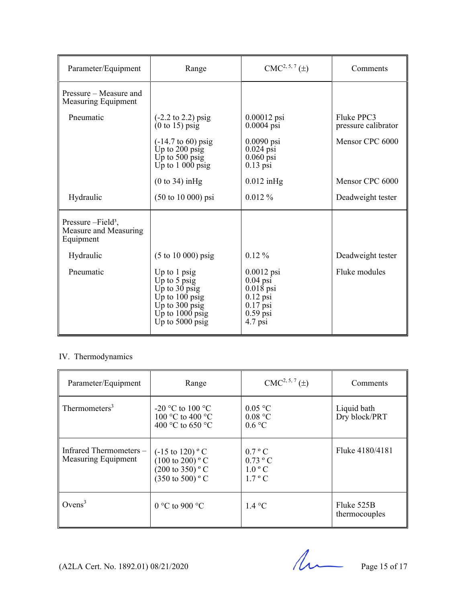| Parameter/Equipment                                        | Range                                                                                                                                 | $CMC2, 5, 7(\pm)$                                                                                | Comments                          |
|------------------------------------------------------------|---------------------------------------------------------------------------------------------------------------------------------------|--------------------------------------------------------------------------------------------------|-----------------------------------|
| Pressure – Measure and<br>Measuring Equipment              |                                                                                                                                       |                                                                                                  |                                   |
| Pneumatic                                                  | $(-2.2 \text{ to } 2.2) \text{ psig}$<br>(0 to 15) psig                                                                               | $0.00012$ psi<br>$0.0004$ psi                                                                    | Fluke PPC3<br>pressure calibrator |
|                                                            | $(-14.7 \text{ to } 60) \text{ psig}$<br>Up to $200$ psig<br>Up to $500$ psig<br>Up to $1000$ psig                                    | $0.0090$ psi<br>$0.024$ psi<br>$0.060$ psi<br>$0.13$ psi                                         | Mensor CPC 6000                   |
|                                                            | (0 to 34) in Hg                                                                                                                       | $0.012$ in Hg                                                                                    | Mensor CPC 6000                   |
| Hydraulic                                                  | $(50 \text{ to } 10\,000) \text{ psi}$                                                                                                | $0.012\%$                                                                                        | Deadweight tester                 |
| Pressure $-Field3$ ,<br>Measure and Measuring<br>Equipment |                                                                                                                                       |                                                                                                  |                                   |
| Hydraulic                                                  | $(5 \text{ to } 10 \text{ 000}) \text{ psig}$                                                                                         | $0.12\%$                                                                                         | Deadweight tester                 |
| Pneumatic                                                  | Up to $1$ psig<br>Up to $5$ psig<br>Up to $30$ psig<br>Up to $100$ psig<br>Up to $300$ psig<br>Up to $1000$ psig<br>Up to $5000$ psig | $0.0012$ psi<br>$0.04$ psi<br>$0.018$ psi<br>$0.12$ psi<br>$0.17$ psi<br>$0.59$ psi<br>$4.7$ psi | Fluke modules                     |

## IV. Thermodynamics

| Parameter/Equipment                           | Range                                                                                                                    | $CMC2, 5, 7(\pm)$                                                         | Comments                     |
|-----------------------------------------------|--------------------------------------------------------------------------------------------------------------------------|---------------------------------------------------------------------------|------------------------------|
| Thermometers <sup>3</sup>                     | -20 °C to 100 °C<br>100 °C to 400 °C<br>400 °C to 650 °C                                                                 | 0.05 °C<br>0.08 °C<br>0.6 °C                                              | Liquid bath<br>Dry block/PRT |
| Infrared Thermometers-<br>Measuring Equipment | $(-15 \text{ to } 120)$ ° C<br>$(100 \text{ to } 200)$ ° C<br>$(200 \text{ to } 350)$ ° C<br>$(350 \text{ to } 500)$ ° C | $0.7 \degree$ C<br>$0.73 \degree C$<br>$1.0^{\circ}$ C<br>$1.7 \degree C$ | Fluke 4180/4181              |
| Ovens <sup>3</sup>                            | 0 °C to 900 °C                                                                                                           | 1.4 °C                                                                    | Fluke 525B<br>thermocouples  |

 $(A2LA$  Cert. No. 1892.01) 08/21/2020 Page 15 of 17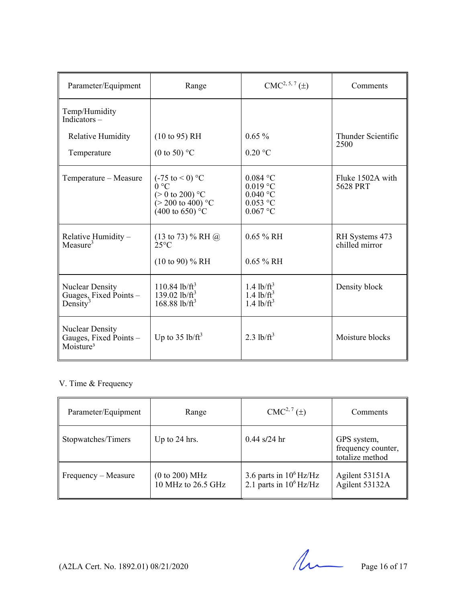| Parameter/Equipment                                                       | Range                                                                                                                                | $CMC2, 5, 7(\pm)$                                                  | Comments                         |
|---------------------------------------------------------------------------|--------------------------------------------------------------------------------------------------------------------------------------|--------------------------------------------------------------------|----------------------------------|
| Temp/Humidity<br>Indicators $-$                                           |                                                                                                                                      |                                                                    |                                  |
| Relative Humidity<br>Temperature                                          | (10 to 95) RH<br>(0 to 50) $\mathrm{^{\circ}C}$                                                                                      | $0.65\%$<br>$0.20$ °C                                              | Thunder Scientific<br>2500       |
| Temperature - Measure                                                     | $(-75 \text{ to } 0)$ °C<br>$0^{\circ}C$<br>$(> 0 \text{ to } 200)$ °C<br>$(> 200 \text{ to } 400)$ °C<br>$(400 \text{ to } 650)$ °C | $0.084$ °C<br>$0.019$ °C<br>$0.040$ °C<br>$0.053$ °C<br>$0.067$ °C | Fluke 1502A with<br>5628 PRT     |
| $\frac{Relative\,Humidity - \\Measure^3}$                                 | $(13 \text{ to } 73)$ % RH $@$<br>$25^{\circ}$ C<br>$(10 \text{ to } 90)$ % RH                                                       | $0.65 \%$ RH<br>$0.65 \%$ RH                                       | RH Systems 473<br>chilled mirror |
| <b>Nuclear Density</b><br>Guages, Fixed Points -<br>Density <sup>3</sup>  | $110.84$ lb/ft <sup>3</sup><br>139.02 lb/ $ft^3$<br>$168.88$ lb/ft <sup>3</sup>                                                      | $1.4$ lb/ft <sup>3</sup><br>$1.4$ lb/ $ft^3$<br>$1.4$ lb/ $ft^3$   | Density block                    |
| <b>Nuclear Density</b><br>Gauges, Fixed Points -<br>Moisture <sup>3</sup> | Up to $35 \text{ lb/ft}^3$                                                                                                           | $2.3$ lb/ft <sup>3</sup>                                           | Moisture blocks                  |

## V. Time & Frequency

| Parameter/Equipment | Range                                | $CMC2, 7(\pm)$                                         | Comments                                             |
|---------------------|--------------------------------------|--------------------------------------------------------|------------------------------------------------------|
| Stopwatches/Timers  | Up to 24 hrs.                        | $0.44$ s/24 hr                                         | GPS system,<br>frequency counter,<br>totalize method |
| Frequency – Measure | (0 to 200) MHz<br>10 MHz to 26.5 GHz | 3.6 parts in $10^6$ Hz/Hz<br>2.1 parts in $10^6$ Hz/Hz | Agilent 53151A<br>Agilent 53132A                     |

(A2LA Cert. No. 1892.01) 08/21/2020 Page 16 of 17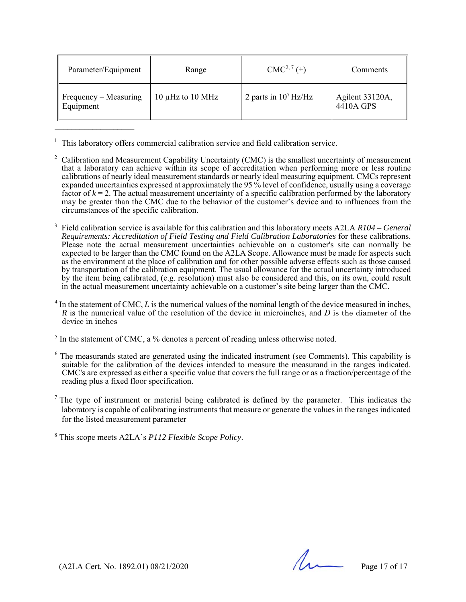| Parameter/Equipment                            | Range                 | $CMC2, 7(\pm)$          | <b>Comments</b>              |
|------------------------------------------------|-----------------------|-------------------------|------------------------------|
| $\parallel$ Frequency – Measuring<br>Equipment | 10 $\mu$ Hz to 10 MHz | 2 parts in $10^7$ Hz/Hz | Agilent 33120A,<br>4410A GPS |

<sup>1</sup> This laboratory offers commercial calibration service and field calibration service.

 $\mathcal{L}_\text{max}$  , where  $\mathcal{L}_\text{max}$ 

- <sup>2</sup> Calibration and Measurement Capability Uncertainty (CMC) is the smallest uncertainty of measurement that a laboratory can achieve within its scope of accreditation when performing more or less routine calibrations of nearly ideal measurement standards or nearly ideal measuring equipment. CMCs represent expanded uncertainties expressed at approximately the 95 % level of confidence, usually using a coverage factor of  $k = 2$ . The actual measurement uncertainty of a specific calibration performed by the laboratory may be greater than the CMC due to the behavior of the customer's device and to influences from the circumstances of the specific calibration.
- 3 Field calibration service is available for this calibration and this laboratory meets A2LA *R104 – General Requirements: Accreditation of Field Testing and Field Calibration Laboratories* for these calibrations. Please note the actual measurement uncertainties achievable on a customer's site can normally be expected to be larger than the CMC found on the A2LA Scope. Allowance must be made for aspects such as the environment at the place of calibration and for other possible adverse effects such as those caused by transportation of the calibration equipment. The usual allowance for the actual uncertainty introduced by the item being calibrated, (e.g. resolution) must also be considered and this, on its own, could result in the actual measurement uncertainty achievable on a customer's site being larger than the CMC.
- $4 \text{ In the statement of CMC, } L \text{ is the numerical values of the nominal length of the device measured in inches, }$ *R* is the numerical value of the resolution of the device in microinches, and *D* is the diameter of the device in inches
- $<sup>5</sup>$  In the statement of CMC, a % denotes a percent of reading unless otherwise noted.</sup>
- $6$  The measurands stated are generated using the indicated instrument (see Comments). This capability is suitable for the calibration of the devices intended to measure the measurand in the ranges indicated. CMC's are expressed as either a specific value that covers the full range or as a fraction/percentage of the reading plus a fixed floor specification.
- <sup>7</sup> The type of instrument or material being calibrated is defined by the parameter. This indicates the laboratory is capable of calibrating instruments that measure or generate the values in the ranges indicated for the listed measurement parameter

8 This scope meets A2LA's *P112 Flexible Scope Policy*.